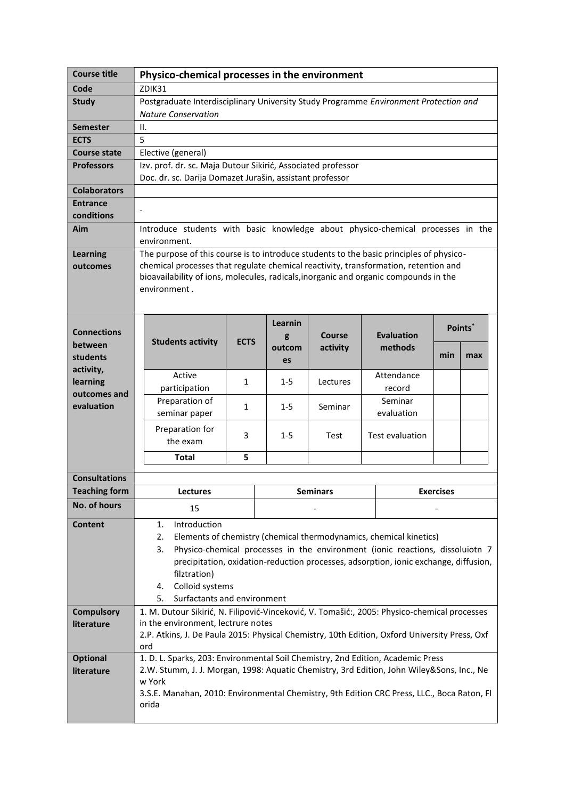| <b>Course title</b>           | Physico-chemical processes in the environment                                                                                                                                                                                                                                                                                                               |              |         |                 |                   |     |         |  |
|-------------------------------|-------------------------------------------------------------------------------------------------------------------------------------------------------------------------------------------------------------------------------------------------------------------------------------------------------------------------------------------------------------|--------------|---------|-----------------|-------------------|-----|---------|--|
| Code                          | ZDIK31                                                                                                                                                                                                                                                                                                                                                      |              |         |                 |                   |     |         |  |
| <b>Study</b>                  | Postgraduate Interdisciplinary University Study Programme Environment Protection and<br><b>Nature Conservation</b>                                                                                                                                                                                                                                          |              |         |                 |                   |     |         |  |
| <b>Semester</b>               | Ш.                                                                                                                                                                                                                                                                                                                                                          |              |         |                 |                   |     |         |  |
| <b>ECTS</b>                   | 5                                                                                                                                                                                                                                                                                                                                                           |              |         |                 |                   |     |         |  |
| <b>Course state</b>           | Elective (general)                                                                                                                                                                                                                                                                                                                                          |              |         |                 |                   |     |         |  |
| <b>Professors</b>             | Izv. prof. dr. sc. Maja Dutour Sikirić, Associated professor<br>Doc. dr. sc. Darija Domazet Jurašin, assistant professor                                                                                                                                                                                                                                    |              |         |                 |                   |     |         |  |
| <b>Colaborators</b>           |                                                                                                                                                                                                                                                                                                                                                             |              |         |                 |                   |     |         |  |
| <b>Entrance</b><br>conditions |                                                                                                                                                                                                                                                                                                                                                             |              |         |                 |                   |     |         |  |
| Aim                           | Introduce students with basic knowledge about physico-chemical processes in the<br>environment.                                                                                                                                                                                                                                                             |              |         |                 |                   |     |         |  |
| <b>Learning</b><br>outcomes   | The purpose of this course is to introduce students to the basic principles of physico-<br>chemical processes that regulate chemical reactivity, transformation, retention and<br>bioavailability of ions, molecules, radicals, inorganic and organic compounds in the<br>environment.                                                                      |              |         |                 |                   |     |         |  |
|                               |                                                                                                                                                                                                                                                                                                                                                             |              | Learnin |                 |                   |     |         |  |
| <b>Connections</b>            |                                                                                                                                                                                                                                                                                                                                                             |              | g       | Course          | <b>Evaluation</b> |     | Points* |  |
| between                       | <b>Students activity</b>                                                                                                                                                                                                                                                                                                                                    | <b>ECTS</b>  | outcom  | activity        | methods           |     |         |  |
| students                      |                                                                                                                                                                                                                                                                                                                                                             |              | es      |                 |                   | min | max     |  |
| activity,                     | Active                                                                                                                                                                                                                                                                                                                                                      |              |         |                 | Attendance        |     |         |  |
| learning<br>outcomes and      | participation                                                                                                                                                                                                                                                                                                                                               | 1            | $1 - 5$ | Lectures        | record            |     |         |  |
| evaluation                    | Preparation of                                                                                                                                                                                                                                                                                                                                              | $\mathbf{1}$ | $1 - 5$ | Seminar         | Seminar           |     |         |  |
|                               | seminar paper                                                                                                                                                                                                                                                                                                                                               |              |         |                 | evaluation        |     |         |  |
|                               | Preparation for<br>the exam                                                                                                                                                                                                                                                                                                                                 | 3            | $1 - 5$ | Test            | Test evaluation   |     |         |  |
|                               | <b>Total</b>                                                                                                                                                                                                                                                                                                                                                | 5            |         |                 |                   |     |         |  |
| <b>Consultations</b>          |                                                                                                                                                                                                                                                                                                                                                             |              |         |                 |                   |     |         |  |
| <b>Teaching form</b>          |                                                                                                                                                                                                                                                                                                                                                             |              |         | <b>Seminars</b> | <b>Exercises</b>  |     |         |  |
| <b>No. of hours</b>           | <b>Lectures</b>                                                                                                                                                                                                                                                                                                                                             |              |         |                 |                   |     |         |  |
|                               | 15                                                                                                                                                                                                                                                                                                                                                          |              |         |                 |                   |     |         |  |
| <b>Content</b>                | Introduction<br>1.<br>2.<br>Elements of chemistry (chemical thermodynamics, chemical kinetics)<br>Physico-chemical processes in the environment (ionic reactions, dissoluiotn 7<br>3.<br>precipitation, oxidation-reduction processes, adsorption, ionic exchange, diffusion,<br>filztration)<br>Colloid systems<br>4.<br>Surfactants and environment<br>5. |              |         |                 |                   |     |         |  |
| <b>Compulsory</b>             | 1. M. Dutour Sikirić, N. Filipović-Vinceković, V. Tomašić:, 2005: Physico-chemical processes                                                                                                                                                                                                                                                                |              |         |                 |                   |     |         |  |
| literature                    | in the environment, lectrure notes<br>2.P. Atkins, J. De Paula 2015: Physical Chemistry, 10th Edition, Oxford University Press, Oxf<br>ord                                                                                                                                                                                                                  |              |         |                 |                   |     |         |  |
| <b>Optional</b>               | 1. D. L. Sparks, 203: Environmental Soil Chemistry, 2nd Edition, Academic Press                                                                                                                                                                                                                                                                             |              |         |                 |                   |     |         |  |
| literature                    | 2.W. Stumm, J. J. Morgan, 1998: Aquatic Chemistry, 3rd Edition, John Wiley&Sons, Inc., Ne                                                                                                                                                                                                                                                                   |              |         |                 |                   |     |         |  |
|                               | w York<br>3.S.E. Manahan, 2010: Environmental Chemistry, 9th Edition CRC Press, LLC., Boca Raton, Fl<br>orida                                                                                                                                                                                                                                               |              |         |                 |                   |     |         |  |